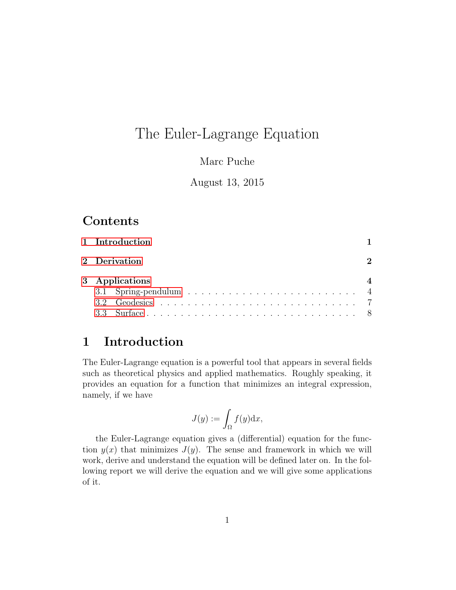# The Euler-Lagrange Equation

#### Marc Puche

#### August 13, 2015

# Contents

|  | 1 Introduction |  |
|--|----------------|--|
|  | 2 Derivation   |  |
|  | 3 Applications |  |
|  |                |  |
|  |                |  |
|  |                |  |
|  |                |  |

### <span id="page-0-0"></span>1 Introduction

The Euler-Lagrange equation is a powerful tool that appears in several fields such as theoretical physics and applied mathematics. Roughly speaking, it provides an equation for a function that minimizes an integral expression, namely, if we have

$$
J(y) := \int_{\Omega} f(y) \mathrm{d} x,
$$

the Euler-Lagrange equation gives a (differential) equation for the function  $y(x)$  that minimizes  $J(y)$ . The sense and framework in which we will work, derive and understand the equation will be defined later on. In the following report we will derive the equation and we will give some applications of it.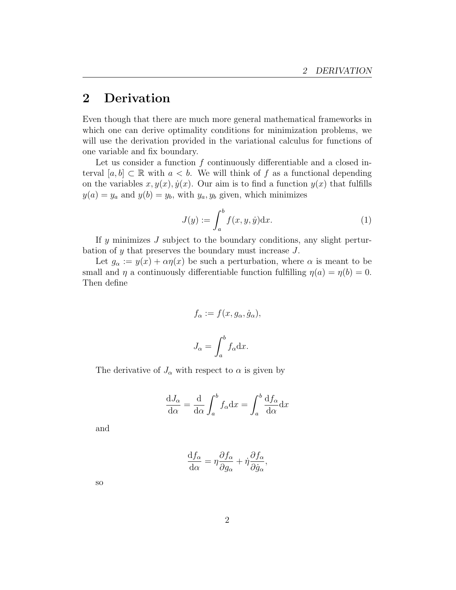### <span id="page-1-0"></span>2 Derivation

Even though that there are much more general mathematical frameworks in which one can derive optimality conditions for minimization problems, we will use the derivation provided in the variational calculus for functions of one variable and fix boundary.

Let us consider a function  $f$  continuously differentiable and a closed interval  $[a, b] \subset \mathbb{R}$  with  $a < b$ . We will think of f as a functional depending on the variables  $x, y(x), \dot{y}(x)$ . Our aim is to find a function  $y(x)$  that fulfills  $y(a) = y_a$  and  $y(b) = y_b$ , with  $y_a, y_b$  given, which minimizes

$$
J(y) := \int_{a}^{b} f(x, y, \dot{y}) dx.
$$
 (1)

If y minimizes  $J$  subject to the boundary conditions, any slight perturbation of y that preserves the boundary must increase J.

Let  $g_{\alpha} := y(x) + \alpha \eta(x)$  be such a perturbation, where  $\alpha$  is meant to be small and  $\eta$  a continuously differentiable function fulfilling  $\eta(a) = \eta(b) = 0$ . Then define

$$
f_{\alpha} := f(x, g_{\alpha}, \dot{g}_{\alpha}),
$$

$$
J_{\alpha} = \int_{a}^{b} f_{\alpha} dx.
$$

The derivative of  $J_{\alpha}$  with respect to  $\alpha$  is given by

$$
\frac{dJ_{\alpha}}{d\alpha} = \frac{d}{d\alpha} \int_{a}^{b} f_{\alpha} dx = \int_{a}^{b} \frac{df_{\alpha}}{d\alpha} dx
$$

and

$$
\frac{\mathrm{d}f_{\alpha}}{\mathrm{d}\alpha} = \eta \frac{\partial f_{\alpha}}{\partial g_{\alpha}} + \dot{\eta} \frac{\partial f_{\alpha}}{\partial \dot{g}_{\alpha}},
$$

so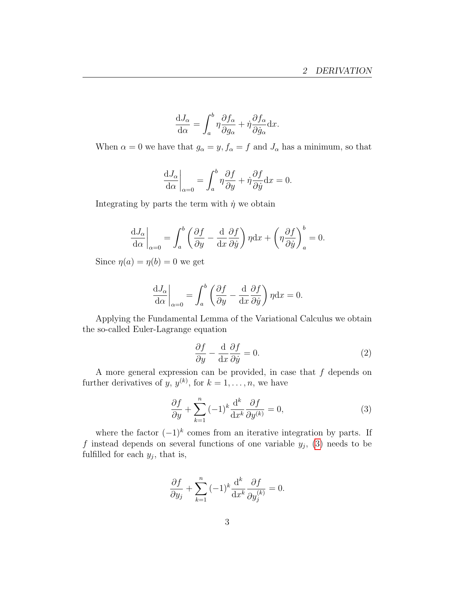$$
\frac{\mathrm{d}J_{\alpha}}{\mathrm{d}\alpha} = \int_{a}^{b} \eta \frac{\partial f_{\alpha}}{\partial g_{\alpha}} + \dot{\eta} \frac{\partial f_{\alpha}}{\partial \dot{g}_{\alpha}} \mathrm{d}x.
$$

When  $\alpha = 0$  we have that  $g_{\alpha} = y$ ,  $f_{\alpha} = f$  and  $J_{\alpha}$  has a minimum, so that

$$
\left. \frac{\mathrm{d}J_{\alpha}}{\mathrm{d}\alpha} \right|_{\alpha=0} = \int_{a}^{b} \eta \frac{\partial f}{\partial y} + \dot{\eta} \frac{\partial f}{\partial \dot{y}} \mathrm{d}x = 0.
$$

Integrating by parts the term with  $\dot{\eta}$  we obtain

$$
\frac{\mathrm{d}J_{\alpha}}{\mathrm{d}\alpha}\bigg|_{\alpha=0} = \int_{a}^{b} \left(\frac{\partial f}{\partial y} - \frac{\mathrm{d}}{\mathrm{d}x}\frac{\partial f}{\partial \dot{y}}\right)\eta \mathrm{d}x + \left(\eta \frac{\partial f}{\partial \dot{y}}\right)_{a}^{b} = 0.
$$

Since  $\eta(a) = \eta(b) = 0$  we get

$$
\left. \frac{\mathrm{d}J_{\alpha}}{\mathrm{d}\alpha} \right|_{\alpha=0} = \int_{a}^{b} \left( \frac{\partial f}{\partial y} - \frac{\mathrm{d}}{\mathrm{d}x} \frac{\partial f}{\partial \dot{y}} \right) \eta \mathrm{d}x = 0.
$$

Applying the Fundamental Lemma of the Variational Calculus we obtain the so-called Euler-Lagrange equation

<span id="page-2-1"></span>
$$
\frac{\partial f}{\partial y} - \frac{\mathrm{d}}{\mathrm{d}x} \frac{\partial f}{\partial \dot{y}} = 0. \tag{2}
$$

A more general expression can be provided, in case that  $f$  depends on further derivatives of y,  $y^{(k)}$ , for  $k = 1, \ldots, n$ , we have

<span id="page-2-0"></span>
$$
\frac{\partial f}{\partial y} + \sum_{k=1}^{n} (-1)^{k} \frac{\mathrm{d}^{k}}{\mathrm{d}x^{k}} \frac{\partial f}{\partial y^{(k)}} = 0, \tag{3}
$$

where the factor  $(-1)^k$  comes from an iterative integration by parts. If f instead depends on several functions of one variable  $y_j$ , [\(3\)](#page-2-0) needs to be fulfilled for each  $y_j$ , that is,

$$
\frac{\partial f}{\partial y_j} + \sum_{k=1}^n (-1)^k \frac{\mathrm{d}^k}{\mathrm{d}x^k} \frac{\partial f}{\partial y_j^{(k)}} = 0.
$$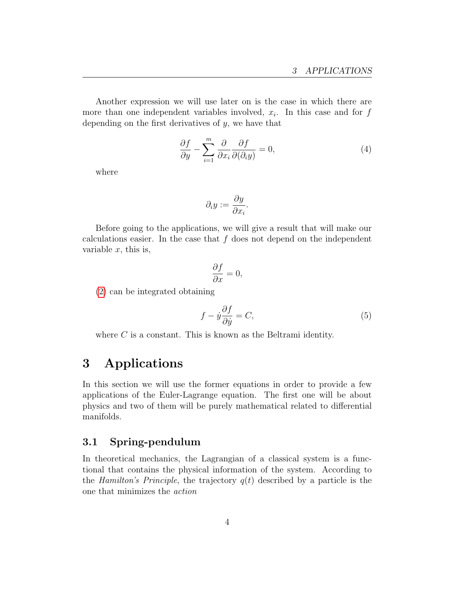Another expression we will use later on is the case in which there are more than one independent variables involved,  $x_i$ . In this case and for  $f$ depending on the first derivatives of y, we have that

<span id="page-3-2"></span>
$$
\frac{\partial f}{\partial y} - \sum_{i=1}^{m} \frac{\partial}{\partial x_i} \frac{\partial f}{\partial(\partial_i y)} = 0,
$$
\n(4)

where

$$
\partial_i y := \frac{\partial y}{\partial x_i}.
$$

Before going to the applications, we will give a result that will make our calculations easier. In the case that  $f$  does not depend on the independent variable  $x$ , this is,

$$
\frac{\partial f}{\partial x} = 0,
$$

[\(2\)](#page-2-1) can be integrated obtaining

$$
f - \dot{y}\frac{\partial f}{\partial \dot{y}} = C,\tag{5}
$$

where  $C$  is a constant. This is known as the Beltrami identity.

## <span id="page-3-0"></span>3 Applications

In this section we will use the former equations in order to provide a few applications of the Euler-Lagrange equation. The first one will be about physics and two of them will be purely mathematical related to differential manifolds.

#### <span id="page-3-1"></span>3.1 Spring-pendulum

In theoretical mechanics, the Lagrangian of a classical system is a functional that contains the physical information of the system. According to the Hamilton's Principle, the trajectory  $q(t)$  described by a particle is the one that minimizes the action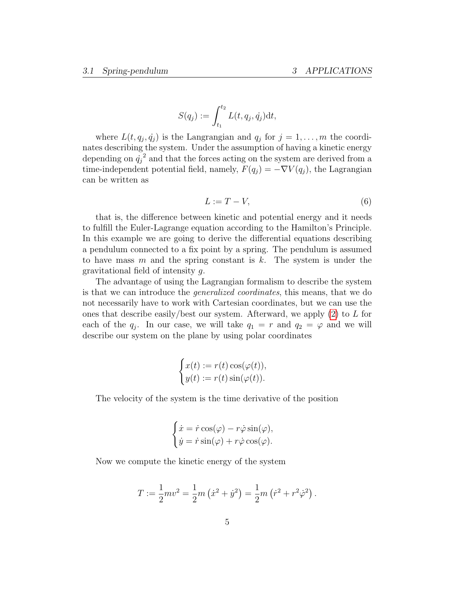$$
S(q_j) := \int_{t_1}^{t_2} L(t, q_j, \dot{q}_j) dt,
$$

where  $L(t, q_j, \dot{q}_j)$  is the Langrangian and  $q_j$  for  $j = 1, \ldots, m$  the coordinates describing the system. Under the assumption of having a kinetic energy depending on  $\dot{q}_j^2$  and that the forces acting on the system are derived from a time-independent potential field, namely,  $F(q_j) = -\nabla V(q_j)$ , the Lagrangian can be written as

<span id="page-4-0"></span>
$$
L := T - V,\tag{6}
$$

that is, the difference between kinetic and potential energy and it needs to fulfill the Euler-Lagrange equation according to the Hamilton's Principle. In this example we are going to derive the differential equations describing a pendulum connected to a fix point by a spring. The pendulum is assumed to have mass m and the spring constant is k. The system is under the gravitational field of intensity g.

The advantage of using the Lagrangian formalism to describe the system is that we can introduce the generalized coordinates, this means, that we do not necessarily have to work with Cartesian coordinates, but we can use the ones that describe easily/best our system. Afterward, we apply  $(2)$  to L for each of the  $q_j$ . In our case, we will take  $q_1 = r$  and  $q_2 = \varphi$  and we will describe our system on the plane by using polar coordinates

$$
\begin{cases} x(t) := r(t) \cos(\varphi(t)), \\ y(t) := r(t) \sin(\varphi(t)). \end{cases}
$$

The velocity of the system is the time derivative of the position

$$
\begin{cases} \dot{x} = \dot{r}\cos(\varphi) - r\dot{\varphi}\sin(\varphi), \\ \dot{y} = \dot{r}\sin(\varphi) + r\dot{\varphi}\cos(\varphi). \end{cases}
$$

Now we compute the kinetic energy of the system

$$
T := \frac{1}{2}mv^2 = \frac{1}{2}m(\dot{x}^2 + \dot{y}^2) = \frac{1}{2}m(\dot{r}^2 + r^2\dot{\varphi}^2).
$$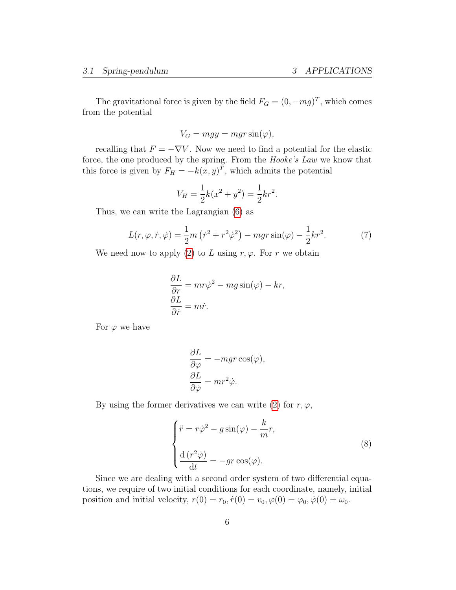The gravitational force is given by the field  $F_G = (0, -mg)^T$ , which comes from the potential

$$
V_G = mgy = mgr \sin(\varphi),
$$

recalling that  $F = -\nabla V$ . Now we need to find a potential for the elastic force, the one produced by the spring. From the Hooke's Law we know that this force is given by  $F_H = -k(x, y)^T$ , which admits the potential

$$
V_H = \frac{1}{2}k(x^2 + y^2) = \frac{1}{2}kr^2.
$$

Thus, we can write the Lagrangian [\(6\)](#page-4-0) as

$$
L(r, \varphi, \dot{r}, \dot{\varphi}) = \frac{1}{2}m(\dot{r}^2 + r^2\dot{\varphi}^2) - mgr\sin(\varphi) - \frac{1}{2}kr^2.
$$
 (7)

We need now to apply [\(2\)](#page-2-1) to L using  $r, \varphi$ . For r we obtain

$$
\frac{\partial L}{\partial r} = mr\dot{\varphi}^2 - mg\sin(\varphi) - kr,
$$
  

$$
\frac{\partial L}{\partial \dot{r}} = m\dot{r}.
$$

For  $\varphi$  we have

$$
\frac{\partial L}{\partial \varphi} = -mgr \cos(\varphi),
$$
  

$$
\frac{\partial L}{\partial \dot{\varphi}} = mr^2 \dot{\varphi}.
$$

By using the former derivatives we can write [\(2\)](#page-2-1) for  $r, \varphi$ ,

$$
\begin{cases}\n\ddot{r} = r\dot{\varphi}^2 - g\sin(\varphi) - \frac{k}{m}r, \\
\frac{\mathrm{d}\left(r^2\dot{\varphi}\right)}{\mathrm{d}t} = -gr\cos(\varphi).\n\end{cases}
$$
\n(8)

Since we are dealing with a second order system of two differential equations, we require of two initial conditions for each coordinate, namely, initial position and initial velocity,  $r(0) = r_0, \dot{r}(0) = v_0, \varphi(0) = \varphi_0, \dot{\varphi}(0) = \omega_0$ .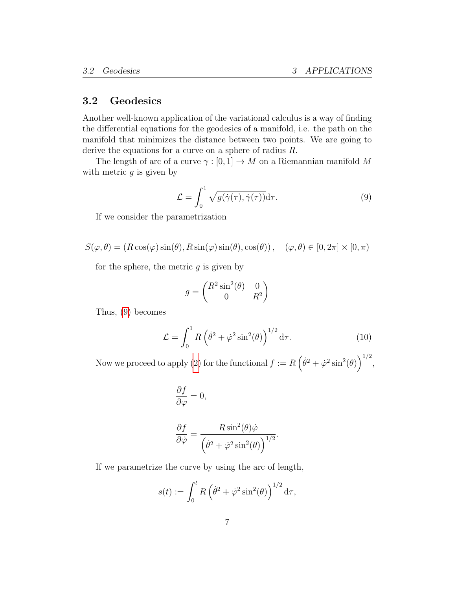#### <span id="page-6-0"></span>3.2 Geodesics

Another well-known application of the variational calculus is a way of finding the differential equations for the geodesics of a manifold, i.e. the path on the manifold that minimizes the distance between two points. We are going to derive the equations for a curve on a sphere of radius R.

The length of arc of a curve  $\gamma : [0, 1] \to M$  on a Riemannian manifold M with metric  $q$  is given by

<span id="page-6-1"></span>
$$
\mathcal{L} = \int_0^1 \sqrt{g(\dot{\gamma}(\tau), \dot{\gamma}(\tau))} d\tau.
$$
 (9)

If we consider the parametrization

$$
S(\varphi, \theta) = (R\cos(\varphi)\sin(\theta), R\sin(\varphi)\sin(\theta), \cos(\theta)), \quad (\varphi, \theta) \in [0, 2\pi] \times [0, \pi)
$$

for the sphere, the metric  $q$  is given by

$$
g = \begin{pmatrix} R^2 \sin^2(\theta) & 0\\ 0 & R^2 \end{pmatrix}
$$

Thus, [\(9\)](#page-6-1) becomes

$$
\mathcal{L} = \int_0^1 R \left( \dot{\theta}^2 + \dot{\varphi}^2 \sin^2(\theta) \right)^{1/2} d\tau.
$$
 (10)

Now we proceed to apply [\(2\)](#page-2-1) for the functional  $f := R(\dot{\theta}^2 + \dot{\varphi}^2 \sin^2(\theta))^{1/2}$ ,

$$
\begin{aligned}\n\frac{\partial f}{\partial \varphi} &= 0, \\
\frac{\partial f}{\partial \dot{\varphi}} &= \frac{R \sin^2(\theta) \dot{\varphi}}{\left(\dot{\theta}^2 + \dot{\varphi}^2 \sin^2(\theta)\right)^{1/2}}.\n\end{aligned}
$$

If we parametrize the curve by using the arc of length,

$$
s(t) := \int_0^t R\left(\dot{\theta}^2 + \dot{\varphi}^2 \sin^2(\theta)\right)^{1/2} d\tau,
$$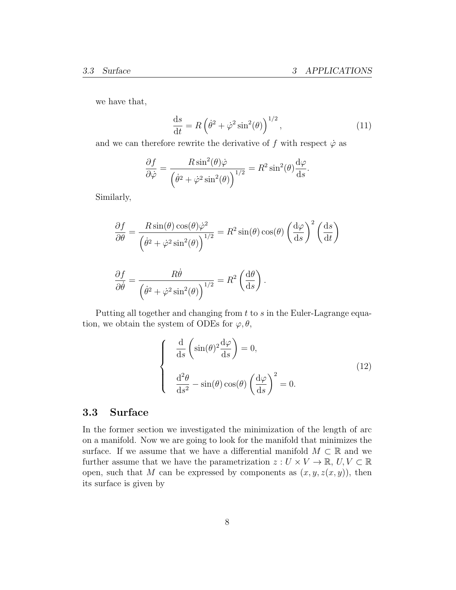we have that,

$$
\frac{\mathrm{d}s}{\mathrm{d}t} = R\left(\dot{\theta}^2 + \dot{\varphi}^2 \sin^2(\theta)\right)^{1/2},\tag{11}
$$

and we can therefore rewrite the derivative of f with respect  $\dot{\varphi}$  as

$$
\frac{\partial f}{\partial \dot{\varphi}} = \frac{R \sin^2(\theta) \dot{\varphi}}{\left(\dot{\theta}^2 + \dot{\varphi}^2 \sin^2(\theta)\right)^{1/2}} = R^2 \sin^2(\theta) \frac{d\varphi}{ds}.
$$

Similarly,

$$
\frac{\partial f}{\partial \theta} = \frac{R \sin(\theta) \cos(\theta) \dot{\varphi}^2}{\left(\dot{\theta}^2 + \dot{\varphi}^2 \sin^2(\theta)\right)^{1/2}} = R^2 \sin(\theta) \cos(\theta) \left(\frac{d\varphi}{ds}\right)^2 \left(\frac{ds}{dt}\right)
$$

$$
\frac{\partial f}{\partial \dot{\theta}} = \frac{R\dot{\theta}}{\left(\dot{\theta}^2 + \dot{\varphi}^2 \sin^2(\theta)\right)^{1/2}} = R^2 \left(\frac{d\theta}{ds}\right).
$$

Putting all together and changing from  $t$  to  $s$  in the Euler-Lagrange equation, we obtain the system of ODEs for  $\varphi, \theta$ ,

$$
\begin{cases}\n\frac{\mathrm{d}}{\mathrm{d}s} \left( \sin(\theta)^2 \frac{\mathrm{d}\varphi}{\mathrm{d}s} \right) = 0, \\
\frac{\mathrm{d}^2 \theta}{\mathrm{d}s^2} - \sin(\theta) \cos(\theta) \left( \frac{\mathrm{d}\varphi}{\mathrm{d}s} \right)^2 = 0.\n\end{cases}
$$
\n(12)

#### <span id="page-7-0"></span>3.3 Surface

In the former section we investigated the minimization of the length of arc on a manifold. Now we are going to look for the manifold that minimizes the surface. If we assume that we have a differential manifold  $M \subset \mathbb{R}$  and we further assume that we have the parametrization  $z: U \times V \to \mathbb{R}, U, V \subset \mathbb{R}$ open, such that M can be expressed by components as  $(x, y, z(x, y))$ , then its surface is given by